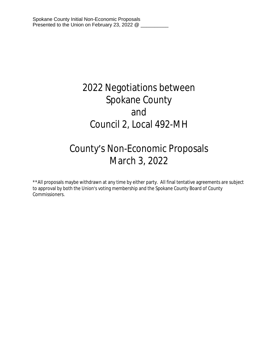# 2022 Negotiations between Spokane County and Council 2, Local 492-MH

# County's Non-Economic Proposals March 3, 2022

\*\*All proposals maybe withdrawn at any time by either party. All final tentative agreements are subject to approval by both the Union's voting membership and the Spokane County Board of County Commissioners.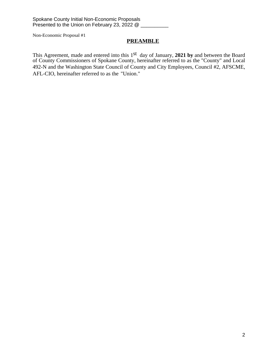# **PREAMBLE**

This Agreement, made and entered into this 1<sup>st</sup> day of January, 2021 by and between the Board of County Commissioners of Spokane County, hereinafter referred to as the "County" and Local 492-N and the Washington State Council of County and City Employees, Council #2, AFSCME, AFL-CIO, hereinafter referred to as the "Union."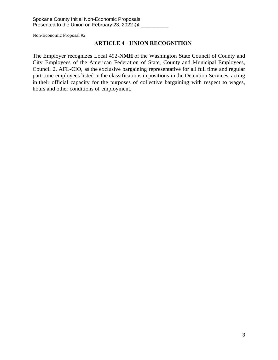# **ARTICLE 4 · UNION RECOGNITION**

The Employer recognizes Local 492-N**MH** of the Washington State Council of County and City Employees of the American Federation of State, County and Municipal Employees, Council 2, AFL-CIO, as the exclusive bargaining representative for all full time and regular part-time employees listed in the classifications in positions in the Detention Services, acting in their official capacity for the purposes of collective bargaining with respect to wages, hours and other conditions of employment.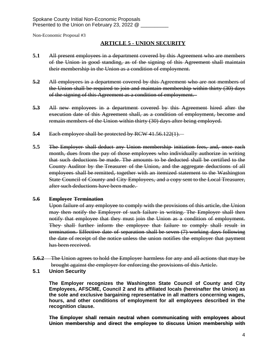## **ARTICLE 5 - UNION SECURITY**

- **5.1** All present employees in a department covered by this Agreement who are members of the Union in good standing, as of the signing of this Agreement shall maintain their membership in the Union as a condition of employment.
- **5.2** All employees in a department covered by this Agreement who are not members of the Union shall be required to join and maintain membership within thirty (30) days of the signing of this Agreement as a condition of employment.
- **5.3** All new employees in a department covered by this Agreement hired after the execution date of this Agreement shall, as a condition of employment, become and remain members of the Union within thirty (30) days after being employed.
- **5.4** Each employee shall be protected by RCW 41.56.122(1).
- **5.5** The Employer shall deduct any Union membership initiation fees, and, once each month, dues from the pay of those employees who individually authorize in writing that such deductions be made. The amounts to be deducted shall be certified to the County Auditor by the Treasurer of the Union, and the aggregate deductions of all employees shall be remitted, together with an itemized statement to the Washington State Council of County and City Employees, and a copy sent to the Local Treasurer, after such deductions have been made.

#### **5.6 Employee Termination**

Upon failure of any employee to comply with the provisions of this article, the Union may then notify the Employer of such failure in writing. The Employer shall then notify that employee that they must join the Union as a condition of employment. They shall further inform the employee that failure to comply shall result in termination. Effective date of separation shall be seven (7) working days following the date of receipt of the notice unless the union notifies the employer that payment has been received.

- **5.6.2** The Union agrees to hold the Employer harmless for any and all actions that may be brought against the employer for enforcing the provisions of this Article.
- **5.1 Union Security**

**The Employer recognizes the Washington State Council of County and City Employees, AFSCME, Council 2 and its affiliated locals (hereinafter the Union) as the sole and exclusive bargaining representative in all matters concerning wages, hours, and other conditions of employment for all employees described in the recognition clause.**

**The Employer shall remain neutral when communicating with employees about Union membership and direct the employee to discuss Union membership with**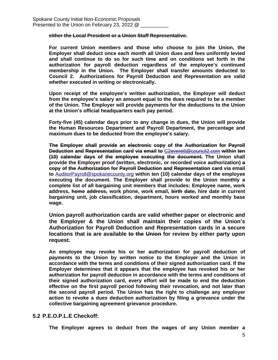#### **either the Local President or a Union Staff Representative.**

**For current Union members and those who choose to join the Union, the Employer shall deduct once each month all Union dues and fees uniformly levied and shall continue to do so for such time and on conditions set forth in the authorization for payroll deduction regardless of the employee's continued membership in the Union. The Employer shall transfer amounts deducted to Council 2. Authorizations for Payroll Deduction and Representation are valid whether executed in writing or electronically.** 

**Upon receipt of the employee's written authorization, the Employer will deduct from the employee's salary an amount equal to the dues required to be a member of the Union. The Employer will provide payments for the deductions to the Union at the Union's official headquarters each pay period.** 

**Forty-five (45) calendar days prior to any change in dues, the Union will provide the Human Resources Department and Payroll Department, the percentage and maximum dues to be deducted from the employee's salary.** 

**The Employer shall provide an electronic copy of the Authorization for Payroll Deduction and Representation card via email to** [C2everett@council2.com](mailto:C2everett@council2.com) **within ten (10) calendar days of the employee executing the document. The Union shall provide the Employer proof (written, electronic, or recorded voice authorization) a copy of the Authorization for Payroll Deduction and Representation card via email to** [AuditorPayroll@spokanecounty.org](mailto:AuditorPayroll@spokanecounty.org) **within ten (10) calendar days of the employee executing the document. The Employer shall provide to the Union monthly a complete list of all bargaining unit members that includes: Employee name, work address, home address, work phone, work email, birth date, hire date in current bargaining unit, job classification, department, hours worked and monthly base wage.**

**Union payroll authorization cards are valid whether paper or electronic and the Employer & the Union shall maintain their copies of the Union's Authorization for Payroll Deduction and Representation cards in a secure locations that is are available to the Union for review by either party upon request.** 

**An employee may revoke his or her authorization for payroll deduction of payments to the Union by written notice to the Employer and the Union in accordance with the terms and conditions of their signed authorization card. If the Employer determines that it appears that the employee has revoked his or her authorization for payroll deduction in accordance with the terms and conditions of their signed authorization card, every effort will be made to end the deduction effective on the first payroll period following their revocation, and not later than the second payroll period. The Union has the right to challenge any employer action to revoke a dues deduction authorization by filing a grievance under the collective bargaining agreement grievance procedure.**

## **5.2 P.E.O.P.L.E Checkoff:**

**The Employer agrees to deduct from the wages of any Union member a**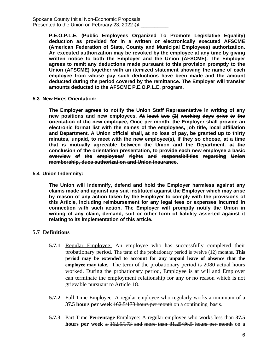**P.E.O.P.L.E. (Public Employees Organized To Promote Legislative Equality) deduction as provided for in a written or electronically executed AFSCME (American Federation of State, County and Municipal Employees) authorization. An executed authorization may be revoked by the employee at any time by giving written notice to both the Employer and the Union (AFSCME). The Employer agrees to remit any deductions made pursuant to this provision promptly to the Union (AFSCME) together with an itemized statement showing the name of each employee from whose pay such deductions have been made and the amount deducted during the period covered by the remittance. The Employer will transfer amounts deducted to the AFSCME P.E.O.P.L.E. program.**

**5.3 New Hires Orientation:**

**The Employer agrees to notify the Union Staff Representative in writing of any new positions and new employees. At least two (2) working days prior to the orientation of the new employee, Once per month, the Employer shall provide an electronic format list with the names of the employees, job title, local affiliation and Department. A Union official shall, at no loss of pay, be granted up to thirty minutes, unpaid, to meet with the new employee(s), if they so choose, at a time that is mutually agreeable between the Union and the Department. at the conclusion of the orientation presentation, to provide each new employee a basic overview of the employees' rights and responsibilities regarding Union membership, dues authorization and Union insurance.**

**5.4 Union Indemnity:**

**The Union will indemnify, defend and hold the Employer harmless against any claims made and against any suit instituted against the Employer which may arise by reason of any action taken by the Employer to comply with the provisions of this Article, including reimbursement for any legal fees or expenses incurred in connection with such action. The Employer will promptly notify the Union in writing of any claim, demand, suit or other form of liability asserted against it relating to its implementation of this article.**

#### **5.7 Definitions**

- **5.7.1** Regular Employee: An employee who has successfully completed their probationary period. The term of the probationary period is twelve (12) months. **This period may be extended to account for any unpaid leave of absence that the employee may take.** The term of the probationary period is 2080 actual hours worked. During the probationary period, Employee is at will and Employer can terminate the employment relationship for any or no reason which is not grievable pursuant to Article 18.
- **5.7.2** Full Time Employee: A regular employee who regularly works a minimum of a **37.5 hours per week** 162.5/173 hours per month on a continuing basis.
- **5.7.3** Part Time **Percentage** Employee: A regular employee who works less than **37.5 hours per week** a 162.5/173 and more than 81.25/86.5 hours per month on a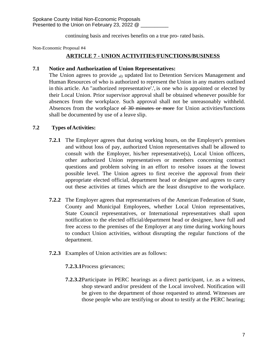continuing basis and receives benefits on a true pro- rated basis.

Non-Economic Proposal #4

# **ARTICLE 7 - UNION ACTIVITIES/FUNCTIONS/BUSINESS**

## **7.1 Notice and Authorization of Union Representatives:**

The Union agrees to provide <sub>al)</sub> updated list to Detention Services Management and Human Resources of who is authorized to represent the Union in any matters outlined in this article. An "authorized representative'.', is one who is appointed or elected by their Local Union. Prior supervisor approval shall be obtained whenever possible for absences from the workplace. Such approval shall not be unreasonably withheld. Absences from the workplace of 30 minutes or more for Union activities/functions shall be documented by use of a leave slip.

## **7.2 Types ofActivities:**

- **7.2.1** The Employer agrees that during working hours, on the Employer's premises and without loss of pay, authorized Union representatives shall be allowed to consult with the Employer, his/her representative(s), Local Union officers, other authorized Union representatives or members concerning contract questions and problem solving in an effort to resolve issues at the lowest possible level. The Union agrees to first receive the approval from their appropriate elected official, department head or designee and agrees to carry out these activities at times which are the least disruptive to the workplace.
- **7.2.2** The Employer agrees that representatives of the American Federation of State, County and Municipal Employees, whether Local Union representatives, State Council representatives, or International representatives shall upon notification to the elected official/department head or designee, have full and free access to the premises of the Employer at any time during working hours to conduct Union activities, without disrupting the regular functions of the department.
- **7.2.3** Examples of Union activities are as follows:
	- **7.2.3.1**Process grievances;
	- **7.2.3.2**Participate in PERC hearings as a direct participant, i.e. as a witness, shop steward and/or president of the Local involved. Notification will be given to the department of those requested to attend. Witnesses are those people who are testifying or about to testify at the PERC hearing;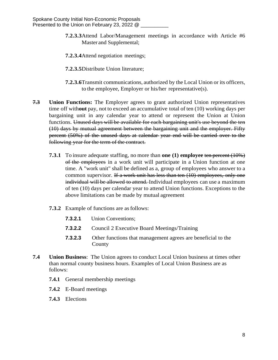- **7.2.3.3**Attend Labor/Management meetings in accordance with Article #6 Master and Supplemental;
- **7.2.3.4**Attend negotiation meetings;
- **7.2.3.5**Distribute Union literature;
- **7.2.3.6**Transmit communications, authorized by the Local Union or its officers, to the employee, Employer or his/her representative(s).
- **7.3 Union Functions:** The Employer agrees to grant authorized Union representatives time off with**out** pay, not to exceed an accumulative total of ten (10) working days per bargaining unit in any calendar year to attend or represent the Union at Union functions. Unused days will be available for each bargaining unit's use beyond the ten (10) days by mutual agreement between the bargaining unit and the employer. Fifty percent (50%) of the unused days at calendar year end will be carried over to the following year for the term of the contract.
	- **7.3.1** To insure adequate staffing, no more than **one (1) employee** ten percent (10%) of the employees in a work unit will participate in a Union function at one time. A "work unit" shall be defined as a, group of employees who answer to a common supervisor. If a work unit has less than ten (10) employees, only one individual will be allowed to attend. Individual employees can use a maximum of ten (10) days per calendar year to attend Union functions. Exceptions to the above limitations can be made by mutual agreement
	- **7.3.2** Example of functions are as follows:
		- **7.3.2.1** Union Conventions;
		- **7.3.2.2** Council 2 Executive Board Meetings/Training
		- **7.3.2.3** Other functions that management agrees are beneficial to the County
- **7.4 Union Business**: The Union agrees to conduct Local Union business at times other than normal county business hours. Examples of Local Union Business are as follows:
	- **7.4.1** General membership meetings
	- **7.4.2** E-Board meetings
	- **7.4.3** Elections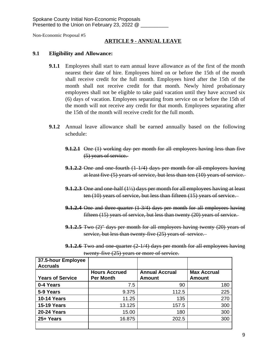#### **ARTICLE 9 - ANNUAL LEAVE**

#### **9.1 Eligibility and Allowance:**

- **9.1.1** Employees shall start to earn annual leave allowance as of the first of the month nearest their date of hire. Employees hired on or before the 15th of the month shall receive credit for the full month. Employees hired after the 15th of the month shall not receive credit for that month. Newly hired probationary employees shall not be eligible to take paid vacation until they have accrued six (6) days of vacation. Employees separating from service on or before the 15th of the month will not receive any credit for that month. Employees separating after the 15th of the month will receive credit for the full month.
- **9.1.2** Annual leave allowance shall be earned annually based on the following schedule:
	- **9.1.2.1** One (1) working day per month for all employees having less than five (5) years of service.
	- **9.1.2.2** One and one-fourth (1-1/4) days per month for all employees having at least five (5) years of service, but less than ten (10) years of service.
	- **9.1.2.3** One and one-half (1<sup>1</sup>/<sub>2</sub>) days per month for all employees having at least ten (10) years of service, but less than fifteen (15) years of service.
	- **9.1.2.4** One and three-quarter (1-3/4) days per month for all employees having fifteen (15) years of service, but less than twenty (20) years of service.
	- **9.1.2.5** Two (2)" days per month for all employees having twenty (20) years of service, but less than twenty-five (25) years of service.
	- **9.1.2.6** Two and one-quarter (2-1/4) days per month for all employees having twenty-five (25) years or more of service.

| 37.5-hour Employee<br><b>Accruals</b> |                      |                       |                    |
|---------------------------------------|----------------------|-----------------------|--------------------|
|                                       | <b>Hours Accrued</b> | <b>Annual Accrual</b> | <b>Max Accrual</b> |
| <b>Years of Service</b>               | <b>Per Month</b>     | Amount                | Amount             |
| 0-4 Years                             | 7.5                  | 90                    | 180                |
| 5-9 Years                             | 9.375                | 112.5                 | 225                |
| <b>10-14 Years</b>                    | 11.25                | 135                   | 270                |
| <b>15-19 Years</b>                    | 13.125               | 157.5                 | 300                |
| <b>20-24 Years</b>                    | 15.00                | 180                   | 300                |
| 25+ Years                             | 16.875               | 202.5                 | 300                |
|                                       |                      |                       |                    |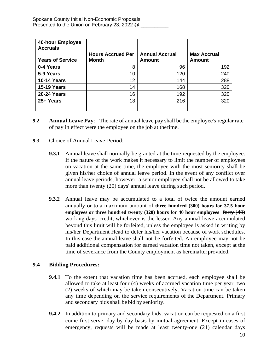| 40-hour Employee<br><b>Accruals</b> |                                          |                                        |                                     |
|-------------------------------------|------------------------------------------|----------------------------------------|-------------------------------------|
| <b>Years of Service</b>             | <b>Hours Accrued Per</b><br><b>Month</b> | <b>Annual Accrual</b><br><b>Amount</b> | <b>Max Accrual</b><br><b>Amount</b> |
| 0-4 Years                           | 8                                        | 96                                     | 192                                 |
| 5-9 Years                           | 10                                       | 120                                    | 240                                 |
| <b>10-14 Years</b>                  | 12                                       | 144                                    | 288                                 |
| <b>15-19 Years</b>                  | 14                                       | 168                                    | 320                                 |
| <b>20-24 Years</b>                  | 16                                       | 192                                    | 320                                 |
| 25+ Years                           | 18                                       | 216                                    | 320                                 |
|                                     |                                          |                                        |                                     |

- **9.2 Annual Leave Pay**: The rate of annual leave pay shall be the employee's regular rate of pay in effect were the employee on the job at thetime.
- **9.3** Choice of Annual Leave Period:
	- **9.3.1** Annual leave shall normally be granted at the time requested by the employee. If the nature of the work makes it necessary to limit the number of employees on vacation at the same time, the employee with the most seniority shall be given his/her choice of annual leave period. In the event of any conflict over annual leave periods, however, a senior employee shall not be allowed to take more than twenty (20) days' annual leave during such period.
	- **9.3.2** Annual leave may be accumulated to a total of twice the amount earned annually or to a maximum amount of **three hundred (300) hours for 37.5 hour employees or three hundred twenty (320) hours for 40 hour employees** forty (40) working days' credit, whichever is the lesser. Any annual leave accumulated beyond this limit will be forfeited, unless the employee is asked in writing by his/her Department Head to defer his/her vacation because of work schedules. In this case the annual leave shall not be forfeited. An employee may not be paid additional compensation for earned vacation time not taken, except at the time of severance from the County employment as hereinafterprovided.

## **9.4 Bidding Procedures:**

- **9.4.1** To the extent that vacation time has been accrued, each employee shall be allowed to take at least four (4) weeks of accrued vacation time per year, two (2) weeks of which may be taken consecutively. Vacation time can be taken any time depending on the service requirements of the Department. Primary and secondary bids shall be bid by seniority.
- **9.4.2** In addition to primary and secondary bids, vacation can be requested on a first come first serve, day by day basis by mutual agreement. Except in cases of emergency, requests will be made at least twenty-one (21) calendar days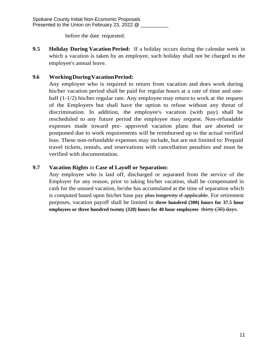before the date requested.

**9.5 Holiday During Vacation Period:** If a holiday occurs during the calendar week in which a vacation is taken by an employee, such holiday shall not be charged to the employee's annual leave.

# **9.6 WorkingDuringVacationPeriod:**

Any employee who is required to return from vacation and does work during his/her vacation period shall be paid for regular hours at a rate of time and onehalf (1-1/2) his/her regular rate. Any employee may return to work at the request of the Employers but shall have the option to refuse without any threat of discrimination. In addition, the employee's vacation (with pay) shall be rescheduled to any future period the employee may request. Non-refundable expenses made toward pre- approved vacation plans that are aborted or postponed due to work requirements will be reimbursed up to the actual verified loss. These non-refundable expenses may include, but are not limited to: Prepaid travel tickets, rentals, and reservations with cancellation penalties and must be verified with documentation.

# **9.7 Vacation Rights** in **Case of Layoff or Separation:**

Any employee who is laid off, discharged or separated from the service of the Employer for any reason, prior to taking his/her vacation, shall be compensated in cash for the unused vacation, he/she has accumulated at the time of separation which is computed based upon his/her base pay plus longevity if applicable. For retirement purposes, vacation payoff shall be limited to **three hundred (300) hours for 37.5 hour employees or three hundred twenty (320) hours for 40 hour employees** thirty (30) days.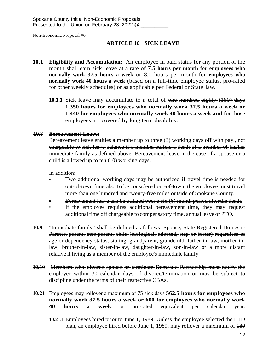## **ARTICLE 10** · **SICK LEAVE**

- **10.1 Eligibility and Accumulation:** An employee in paid status for any portion of the month shall earn sick leave at a rate of 7.5 **hours per month for employees who normally work 37.5 hours a week** or 8.0 hours per month **for employees who normally work 40 hours a week** (based on a full-time employee status, pro-rated for other weekly schedules) or as applicable per Federal or State law.
	- **10.1.1** Sick leave may accumulate to a total of one hundred eighty (180) days **1,350 hours for employees who normally work 37.5 hours a week or 1,440 for employees who normally work 40 hours a week and** for those employees not covered by long term disability.

#### **10.8 Bereavement Leave:**

Bereavement leave entitles a member up to three (3) working days off with pay., not chargeable to sick leave balance if a member suffers a death of a member of his/her immediate family as defined above. Bereavement leave in the case of a spouse or a child is allowed up to ten (10) working days.

#### In addition:

- Two additional working days may be authorized if travel time is needed for out-of-town funerals. To be considered out-of-town, the employee must travel more than one hundred and twenty-five miles outside of Spokane County.
- Bereavement leave can be utilized over a six (6) month period afterthe death.
- **•** If the employee requires additional bereavement time, they may request additional time off chargeable to compensatory time, annual leave or PTO.
- **10.9** "Immediate family" shall be defined as follows: Spouse, State Registered Domestic Partner, parent, step-parent, child (biological, adopted, step or foster) regardless of age or dependency status, sibling, grandparent, grandchild, father-in-law, mother-inlaw, brother-in-law, sister-in-law, daughter-in-law, son-in-law or a more distant relative if living as a member of the employee's immediate family.
- **10.10** Members who divorce spouse or terminate Domestic Partnership must notify the employer within 30 calendar days of divorce/termination or may be subject to discipline under the terms of their respective CBAs.
- **10.21** Employees may rollover a maximum of 75 sick days **562.5 hours for employees who normally work 37.5 hours a week or 600 for employees who normally work 40 hours a week** or pro-rated equivalent per calendar year.
	- **10.21.1** Employees hired prior to June 1, 1989: Unless the employee selected the LTD plan, an employee hired before June 1, 1989, may rollover a maximum of 180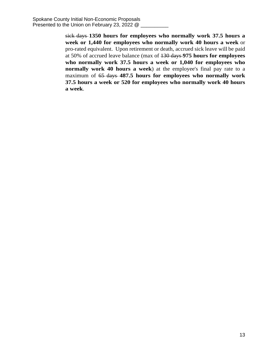sick days **1350 hours for employees who normally work 37.5 hours a week or 1,440 for employees who normally work 40 hours a week** or pro-rated equivalent. Upon retirement or death, accrued sick leave will be paid at 50% of accrued leave balance (max of 130 days **975 hours for employees who normally work 37.5 hours a week or 1,040 for employees who normally work 40 hours a week**) at the employee's final pay rate to a maximum of 65 days **487.5 hours for employees who normally work 37.5 hours a week or 520 for employees who normally work 40 hours a week**.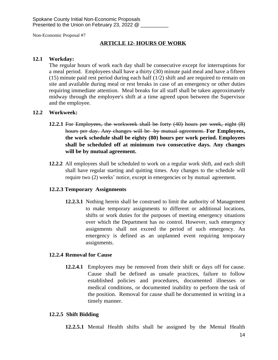## **ARTICLE 12- HOURS OF WORK**

#### **12.1 Workday:**

The regular hours of work each day shall be consecutive except for interruptions for a meal period. Employees shall have a thirty (30) minute paid meal and have a fifteen (15) minute paid rest period during each half (1/2) shift and are required to remain on site and available during meal or rest breaks in case of an emergency or other duties requiring immediate attention. Meal breaks for all staff shall be taken approximately midway through the employee's shift at a time agreed upon between the Supervisor and the employee.

#### **12.2 Workweek:**

- **12.2.1** For Employees, the workweek shall be forty (40) hours per week, eight (8) hours per day. Any changes will be by mutual agreement. **For Employees, the work schedule shall be eighty (80) hours per work period. Employees shall be scheduled off at minimum two consecutive days. Any changes will be by mutual agreement.**
- **12.2.2** All employees shall be scheduled to work on a regular work shift, and each shift shall have regular starting and quitting times. Any changes to the schedule will require two (2) weeks' notice, except in emergencies or by mutual agreement.

## **12.2.3 Temporary Assignments**

**12.2.3.1** Nothing herein shall be construed to limit the authority of Management to make temporary assignments to different or additional locations, shifts or work duties for the purposes of meeting emergency situations over which the Department has no control. However, such emergency assignments shall not exceed the period of such emergency. An emergency is defined as an unplanned event requiring temporary assignments.

#### **12.2.4 Removal for Cause**

**12.2.4.1** Employees may be removed from their shift or days off for cause. Cause shall be defined as unsafe practices, failure to follow established policies and procedures, documented illnesses or medical conditions, or documented inability to perform the task of the position. Removal for cause shall be documented in writing in a timely manner.

#### **12.2.5 Shift Bidding**

**12.2.5.1** Mental Health shifts shall be assigned by the Mental Health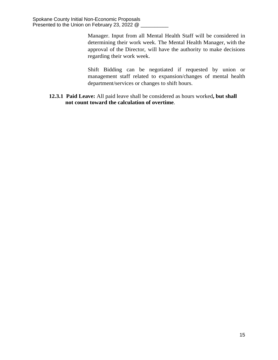Manager. Input from all Mental Health Staff will be considered in determining their work week. The Mental Health Manager, with the approval of the Director, will have the authority to make decisions regarding their work week.

Shift Bidding can be negotiated if requested by union or management staff related to expansion/changes of mental health department/services or changes to shift hours.

**12.3.1 Paid Leave:** All paid leave shall be considered as hours worked**, but shall not count toward the calculation of overtime**.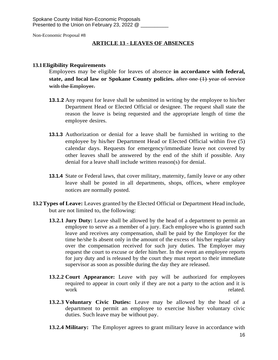#### **ARTICLE 13 - LEAVES OF ABSENCES**

#### **13.1Eligibility Requirements**

Employees may be eligible for leaves of absence **in accordance with federal, state, and local law or Spokane County policies.** after one (1) year of service with the Employer.

- **13.1.2** Any request for leave shall be submitted in writing by the employee to his/her Department Head or Elected Official or designee. The request shall state the reason the leave is being requested and the appropriate length of time the employee desires.
- **13.1.3** Authorization or denial for a leave shall be furnished in writing to the employee by his/her Department Head or Elected Official within five (5) calendar days. Requests for emergency/immediate leave not covered by other leaves shall be answered by the end of the shift if possible. Any denial for a leave shall include written reason(s) for denial.
- **13.1.4** State or Federal laws, that cover military, maternity, family leave or any other leave shall be posted in all departments, shops, offices, where employee notices are normally posted.
- **13.2Types of Leave:** Leaves granted by the Elected Official or Department Head include, but are not limited to, the following:
	- **13.2.1 Jury Duty:** Leave shall be allowed by the head of a department to permit an employee to serve as a member of a jury. Each employee who is granted such leave and receives any compensation, shall be paid by the Employer for the time he/she Is absent only in the amount of the excess of his/her regular salary over the compensation received for such jury duties. The Employer may request the court to excuse or defer him/her. In the event an employee reports for jury duty and is released by the court they must report to their immediate supervisor as soon as possible during the day they are released.
	- **13.2.2 Court Appearance:** Leave with pay will be authorized for employees required to appear in court only if they are not a party to the action and it is work related.
	- **13.2.3 Voluntary Civic Duties:** Leave may be allowed by the head of a department to permit an employee to exercise his/her voluntary civic duties. Such leave may be without pay.
	- **13.2.4 Military:** The Employer agrees to grant military leave in accordance with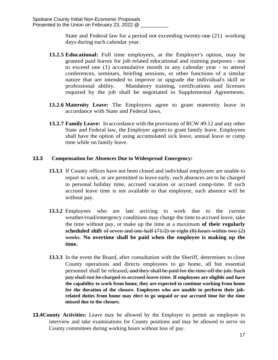State and Federal law for a period not exceeding twenty-one (21) working days during each calendar year.

- **13.2.5 Educational:** Full time employees, at the Employer's option, may be granted paid leaves for job related educational and training purposes - not to exceed one (1) accumulative month in any calendar year - to attend conferences, seminars, briefing sessions, or other functions of a similar nature that are intended to improve or upgrade the individual's skill or professional ability. Mandatory training, certifications and licenses required by the job shall be negotiated in Supplemental Agreements.
- **13.2.6 Maternity Leave:** The Employers agree to grant maternity leave in accordance with State and Federal laws.
- **13.2.7 Family Leave:** In accordance with the provisions of RCW 49:12 and any other State and Federal law, the Employer agrees to grant family leave. Employees shall have the option of using accumulated sick leave, annual leave or comp time while on family leave.

# **13.3 Compensation for Absences Due to Widespread Emergency:**

- **13.3.1** If County offices have not been closed and individual employees are unable to report to work, or are permitted to leave early, such absences are to be charged to personal holiday time, accrued vacation or accrued comp-time. If such accrued leave time is not available to that employee, such absence will be without pay.
- **13.3.2** Employees who are late arriving to work due to the current weather/road/emergency conditions may charge the time to accrued leave, take the time without pay, or make up the time at a maximum **of their regularly scheduled shift** of seven and one-half (71/2) or eight (8) hours within two (2) weeks. **No overtime shall be paid when the employee is making up the time.**
- **13.3.3** In the event the Board, after consultation with the Sheriff, determines to close County operations and directs employees to go home, all but essential personnel shall be released, and they shall be paid for the time off the job. Such pay shall not be charged to accrued leave time. **If employees are eligible and have the capability to work from home, they are expected to continue working from home for the duration of the closure. Employees who are unable to perform their jobrelated duties from home may elect to go unpaid or use accrued time for the time missed due to the closure.**
- **13.4 County Activities:** Leave may be allowed by the Employer to permit an employee to interview and take examinations for County positions and may be allowed to serve on County committees during working hours without loss of pay.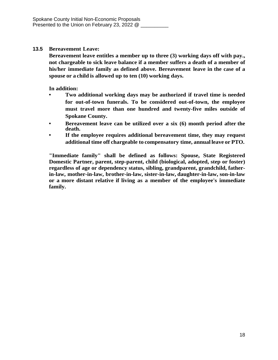## **13.5 Bereavement Leave:**

**Bereavement leave entitles a member up to three (3) working days off with pay., not chargeable to sick leave balance if a member suffers a death of a member of his/her immediate family as defined above. Bereavement leave in the case of a spouse or a child is allowed up to ten (10) working days.**

**In addition:**

- **• Two additional working days may be authorized if travel time is needed for out-of-town funerals. To be considered out-of-town, the employee must travel more than one hundred and twenty-five miles outside of Spokane County.**
- **• Bereavement leave can be utilized over a six (6) month period after the death.**
- **• If the employee requires additional bereavement time, they may request additional time off chargeable to compensatory time, annual leave or PTO.**

**"Immediate family" shall be defined as follows: Spouse, State Registered Domestic Partner, parent, step-parent, child (biological, adopted, step or foster) regardless of age or dependency status, sibling, grandparent, grandchild, fatherin-law, mother-in-law, brother-in-law, sister-in-law, daughter-in-law, son-in-law or a more distant relative if living as a member of the employee's immediate family.**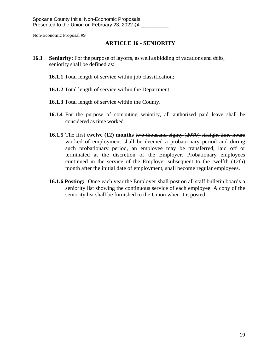# **ARTICLE 16 - SENIORITY**

- **16.1 Seniority:** For the purpose of layoffs, as well as bidding of vacations and shifts, seniority shall be defined as:
	- **16.1.1** Total length of service within job classification;
	- **16.1.2** Total length of service within the Department;
	- **16.1.3** Total length of service within the County.
	- **16.1.4** For the purpose of computing seniority, all authorized paid leave shall be considered as time worked.
	- **16.1.5** The first **twelve (12) months** two thousand eighty (2080) straight time hours worked of employment shall be deemed a probationary period and during such probationary period, an employee may be transferred, laid off or terminated at the discretion of the Employer. Probationary employees continued in the service of the Employer subsequent to the twelfth (12th) month after the initial date of employment, shall become regular employees.
	- **16.1.6 Posting:** Once each year the Employer shall post on all staff bulletin boards a seniority list showing the continuous service of each employee. A copy of the seniority list shall be furnished to the Union when it isposted.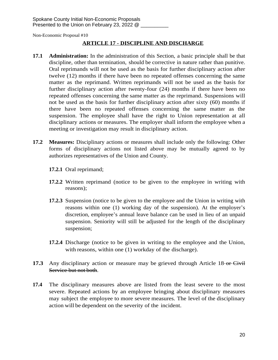# **ARTICLE 17 - DISCIPLINE AND DISCHARGE**

- **17.1 Administration:** In the administration of this Section, a basic principle shall be that discipline, other than termination, should be corrective in nature rather than punitive. Oral reprimands will not be used as the basis for further disciplinary action after twelve (12) months if there have been no repeated offenses concerning the same matter as the reprimand. Written reprimands will not be used as the basis for further disciplinary action after twenty-four (24) months if there have been no repeated offenses concerning the same matter as the reprimand. Suspensions will not be used as the basis for further disciplinary action after sixty (60) months if there have been no repeated offenses concerning the same matter as the suspension. The employee shall have the right to Union representation at all disciplinary actions or measures. The employer shall inform the employee when a meeting or investigation may result in disciplinary action.
- **17.2 Measures:** Disciplinary actions or measures shall include only the following: Other forms of disciplinary actions not listed above may be mutually agreed to by authorizes representatives of the Union and County.
	- **17.2.1** Oral reprimand;
	- **17.2.2** Written reprimand (notice to be given to the employee in writing with reasons);
	- **17.2.3** Suspension (notice to be given to the employee and the Union in writing with reasons within one (1) working day of the suspension). At the employer's discretion, employee's annual leave balance can be used in lieu of an unpaid suspension. Seniority will still be adjusted for the length of the disciplinary suspension;
	- **17.2.4** Discharge (notice to be given in writing to the employee and the Union, with reasons, within one (1) workday of the discharge).
- **17.3** Any disciplinary action or measure may be grieved through Article 18-or-Civil Service but not both.
- **17.4** The disciplinary measures above are listed from the least severe to the most severe. Repeated actions by an employee bringing about disciplinary measures may subject the employee to more severe measures. The level of the disciplinary action will be dependent on the severity of the incident.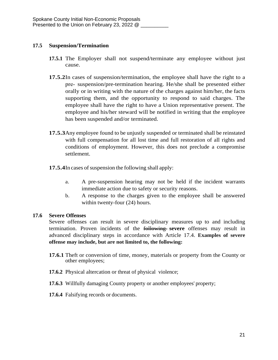## **17.5 Suspension/Termination**

- **17.5.1** The Employer shall not suspend/terminate any employee without just cause.
- **17.5.2**In cases of suspension/termination, the employee shall have the right to a pre- suspension/pre-termination hearing. He/she shall be presented either orally or in writing with the nature of the charges against him/her, the facts supporting them, and the opportunity to respond to said charges. The employee shall have the right to have a Union representative present. The employee and his/her steward will be notified in writing that the employee has been suspended and/or terminated.
- **17.5.3**Any employee found to be unjustly suspended or terminated shall be reinstated with full compensation for all lost time and full restoration of all rights and conditions of employment. However, this does not preclude a compromise settlement.
- **17.5.4**In cases of suspension the following shall apply:
	- a. A pre-suspension hearing may not be held if the incident warrants immediate action due to safety or security reasons.
	- b. A response to the charges given to the employee shall be answered within twenty-four (24) hours.

## **17.6 Severe Offenses**

Severe offenses can result in severe disciplinary measures up to and including termination. Proven incidents of the following **severe** offenses may result in advanced disciplinary steps in accordance with Article 17.4. **Examples of severe offense may include, but are not limited to, the following:**

- **17.6.1** Theft or conversion of time, money, materials or property from the County or other employees;
- **17.6.2** Physical altercation or threat of physical violence;
- **17.6.3** Willfully damaging County property or another employees' property;
- **17.6.4** Falsifying records or documents.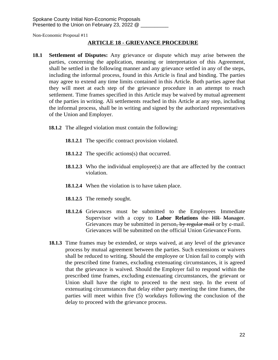## **ARTICLE 18 - GRIEVANCE PROCEDURE**

- **18.1 Settlement of Disputes:** Any grievance or dispute which may arise between the parties, concerning the application, meaning or interpretation of this Agreement, shall be settled in the following manner and any grievance settled in any of the steps, including the informal process, found in this Article is final and binding. The parties may agree to extend any time limits contained in this Article. Both parties agree that they will meet at each step of the grievance procedure in an attempt to reach settlement. Time frames specified in this Article may be waived by mutual agreement of the parties in writing. Ali settlements reached in this Article at any step, including the informal process, shall be in writing and signed by the authorized representatives of the Union and Employer.
	- **18.1.2** The alleged violation must contain the following:
		- **18.1.2.1** The specific contract provision violated.
		- **18.1.2.2** The specific actions(s) that occurred.
		- **18.1.2.3** Who the individual employee(s) are that are affected by the contract violation.
		- **18.1.2.4** When the violation is to have taken place.
		- **18.1.2.5** The remedy sought.
		- **18.1.2.6** Grievances must be submitted to the Employees Immediate Supervisor with a copy to **Labor Relations** the HR Manager. Grievances may be submitted in person, by regular mail or by e-mail. Grievances will be submitted on the official Union GrievanceForm.
	- **18.1.3** Time frames may be extended, or steps waived, at any level of the grievance process by mutual agreement between the parties. Such extensions or waivers shall be reduced to writing. Should the employee or Union fail to comply with the prescribed time frames, excluding extenuating circumstances, it is agreed that the grievance is waived. Should the Employer fail to respond within the prescribed time frames, excluding extenuating circumstances, the grievant or Union shall have the right to proceed to the next step. In the event of extenuating circumstances that delay either party meeting the time frames, the parties will meet within five (5) workdays following the conclusion of the delay to proceed with the grievance process.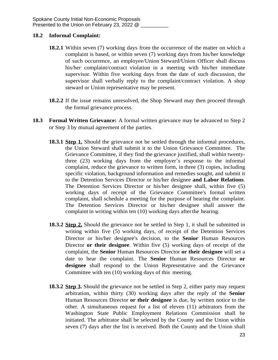## **18.2 Informal Complaint:**

- **18.2.1** Within seven (7) working days from the occurrence of the matter on which a complaint is based, or within seven (7) working days from his/her knowledge of such occurrence, an employee/Union Steward/Union Officer shall discuss his/her complaint/contract violation in a meeting with his/her immediate supervisor. Within five working days from the date of such discussion, the supervisor shall verbally reply to the complaint/contract violation. A shop steward or Union representative may be present.
- **18.2.2** If the issue remains unresolved, the Shop Steward may then proceed through the formal grievance process.
- **18.3 Formal Written Grievance:** A formal written grievance may be advanced to Step 2 or Step 3 by mutual agreement of the parties.
	- **18.3.1 Step 1.** Should the grievance not be settled through the informal procedures, the Union Steward shall submit it to the Union Grievance Committee. The Grievance Committee, if they find the grievance justified, shall within twentythree (23) working days from the employer's response to the informal complaint, reduce the grievance to written form, in three (3) copies, including specific violation, background information and remedies sought, and submit it to the Detention Services Director or his/her designee **and Labor Relations**. The Detention Services Director or his/her designee shall, within five (5) working days of receipt of the Grievance Committee's formal written complaint, shall schedule a meeting for the purpose of hearing the complaint. The Detention Services Director or his/her designee shall answer the complaint in writing within ten (10) working days afterthe hearing.
	- **18.3.2 Step 2.** Should the grievance not be settled in Step 1, it shall be submitted in writing within five (5) working days, of receipt of the Detention Services Director or his/her designee's decision, to the **Senior** Human Resources Director **or their designee**. Within five (5) working days of receipt of the complaint, the **Senior** Human Resources Director **or their designee** will set a date to hear the complaint. The **Senior** Human Resources Director **or designee** shall respond to the Union Representative and the Grievance Committee with ten (10) working days of this meeting.
	- **18.3.2 Step 3.** Should the grievance not be settled in Step 2, either party may request arbitration, within thirty (30) working days after the reply of the **Senior** Human Resources Director **or their designee** is due, by written notice to the other. A simultaneous request for a list of eleven (11) arbitrators from the Washington State Public Employment Relations Commission shall be initiated. The arbitrator shall be selected by the County and the Union within seven (7) days after the list is received. Both the County and the Union shall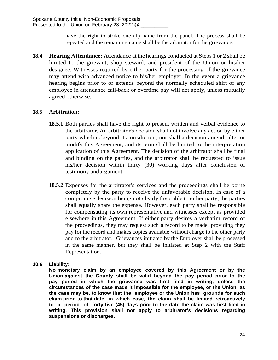have the right to strike one (1) name from the panel. The process shall be repeated and the remaining name shall be the arbitrator forthe grievance.

**18.4 Hearing Attendance:** Attendance at the hearings conducted at Steps 1 or 2 shall be limited to the grievant, shop steward, and president of the Union or his/her designee. Witnesses required by either party for the processing of the grievance may attend with advanced notice to his/her employer. In the event a grievance hearing begins prior to or extends beyond the normally scheduled shift of any employee in attendance call-back or overtime pay will not apply, unless mutually agreed otherwise.

# **18.5 Arbitration:**

- **18.5.1** Both parties shall have the right to present written and verbal evidence to the arbitrator. An arbitrator's decision shall not involve any action by either party which is beyond its jurisdiction, nor shall a decision amend, alter or modify this Agreement, and its term shall be limited to the interpretation application of this Agreement. The decision of the arbitrator shall be final and binding on the parties, and the arbitrator shall be requested to issue his/her decision within thirty (30) working days after conclusion of testimony andargument.
- **18.5.2** Expenses for the arbitrator's services and the proceedings shall be borne completely by the party to receive the unfavorable decision. In case of a compromise decision being not clearly favorable to either party, the parties shall equally share the expense. However, each party shall be responsible for compensating its own representative and witnesses except as provided elsewhere in this Agreement. If either party desires a verbatim record of the proceedings, they may request such a record to be made, providing they pay for the record and makes copies available without charge to the other party and to the arbitrator. Grievances initiated by the Employer shall be processed in the same manner, but they shall be initiated at Step 2 with the Staff Representation.

# **18.6 Liability:**

**No monetary claim by an employee covered by this Agreement or by the Union against the County shall be valid beyond the pay period prior to the pay period in which the grievance was first filed in writing, unless the circumstances of the case made it impossible for the employee, or the Union, as the case may be, to know that the employee or the Union has grounds for such claim prior to that date, in which case, the claim shall be limited retroactively to a period of forty-five (45) days prior to the date the claim was first filed in writing. This provision shall not apply to arbitrator's decisions regarding suspensions or discharges.**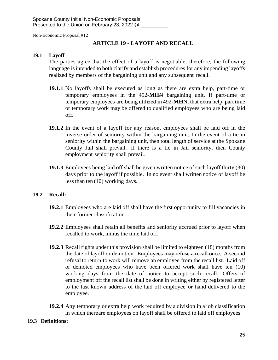## **ARTICLE 19** - **LAYOFF AND RECALL**

#### **19.1 Layoff**

The parties agree that the effect of a layoff is negotiable, therefore, the following language is intended to both clarify and establish procedures for any impending layoffs realized by members of the bargaining unit and any subsequent recall.

- **19.1.1** No layoffs shall be executed as long as there are extra help, part-time or temporary employees in the 492-**MH**N bargaining unit. If part-time or temporary employees are being utilized in 492-**MH**N, that extra help, part time or temporary work may be offered to qualified employees who are being laid off.
- **19.1.2** In the event of a layoff for any reason, employees shall be laid off in the inverse order of seniority within the bargaining unit. In the event of a tie in seniority within the bargaining unit, then total length of service at the Spokane County Jail shall prevail. If there is a tie in Jail seniority, then County employment seniority shall prevail..
- **19.1.3** Employees being laid off shall be given written notice of such layoff thirty (30) days prior to the layoff if possible. In no event shall written notice of layoff be lessthan ten (10) working days.

## **19.2 Recall:**

- **19.2.1** Employees who are laid off shall have the first opportunity to fill vacancies in their former classification.
- **19.2.2** Employees shall retain all benefits and seniority accrued prior to layoff when recalled to work, minus the time laid off.
- **19.2.3** Recall rights under this provision shall be limited to eighteen (18) months from the date of layoff or demotion. Employees may refuse a recall once. A second refusal to return to work will remove an employee from the recall list. Laid off or demoted employees who have been offered work shall have ten (10) working days from the date of notice to accept such recall. Offers of employment off the recall list shall be done in writing either by registered letter to the last known address of the laid off employee or hand delivered to the employee.
- **19.2.4** Any temporary or extra help work required by a division in a job classification in which thereare employees on layoff shall be offered to laid off employees.

#### **19.3 Definitions:**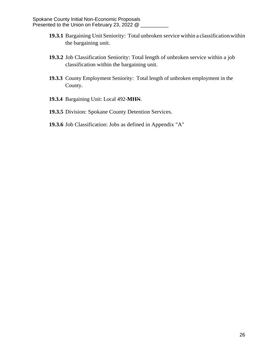- **19.3.1** Bargaining Unit Seniority: Total unbroken service within a classification within the bargaining unit.
- **19.3.2** Job Classification Seniority: Total length of unbroken service within a job classification within the bargaining unit.
- **19.3.3** County Employment Seniority: Total length of unbroken employment in the County.
- **19.3.4** Bargaining Unit: Local 492-**MH**N.
- **19.3.5** Division: Spokane County Detention Services.
- **19.3.6** Job Classification: Jobs as defined in Appendix "A"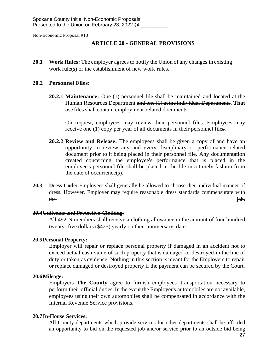## **ARTICLE 20** - **GENERAL PROVISIONS**

**20.1 Work Rules:** The employer agrees to notify the Union of any changes in existing work rule(s) or the establishment of new work rules.

#### **20.2 Personnel Files**:

**20.2.1 Maintenance:** One (1) personnel file shall be maintained and located at the Human Resources Department and one (1) at the individual Departments. **That** ose files shall contain employment-related documents.

On request, employees may review their personnel files. Employees may receive one (1) copy per year of all documents in their personnel files.

- **20.2.2 Review and Release:** The employees shall be given a copy of and have an opportunity to review any and every disciplinary or performance related document prior to it being placed in their personnel file. Any documentation created concerning the employee's performance that is placed in the employee's personnel file shall be placed in the file in a timely fashion from the date of occurrence(s).
- **20.3 Dress Code:** Employees shall generally be allowed to choose their individual manner of dress. However, Employer may require reasonable dress standards commensurate with the intervals of the set of the set of the set of the set of the set of the set of the set of the set of the set of the set of the set of the set of the set of the set of the set of the set of the set of the set of the set

#### **20.4Uniforms and Protective Clothing**:

 All 492-N members shall receive a clothing allowance in the amount of four hundred twenty- five dollars (\$425) yearly on their anniversary date.

#### **20.5Personal Property:**

Employer will repair or replace personal property if damaged in an accident not to exceed actual cash value of such property that is damaged or destroyed in the line of duty or taken as evidence. Nothing in this section is meant for the Employers to repair or replace damaged or destroyed property if the payment can be secured by the Court.

#### **20.6Mileage:**

Employers **The County** agree to furnish employees' transportation necessary to perform their official duties. In the event the Employer's automobiles are not available, employees using their own automobiles shall be compensated in accordance with the Internal Revenue Service provisions.

#### **20.7In-House Services:**

All County departments which provide services for other departments shall be afforded an opportunity to bid on the requested job and/or service prior to an outside bid being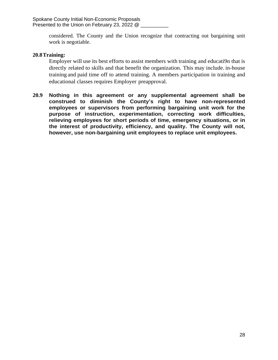considered. The County and the Union recognize that contracting out bargaining unit work is negotiable.

## **20.8Training:**

Employer will use its best efforts to assist members with training and educati9n that is directly related to skills and that benefit the organization. This may include. in-house training and paid time off to attend training. A members participation in training and educational classes requires Employer preapproval.

**20.9 Nothing in this agreement or any supplemental agreement shall be construed to diminish the County's right to have non-represented employees or supervisors from performing bargaining unit work for the purpose of instruction, experimentation, correcting work difficulties, relieving employees for short periods of time, emergency situations, or in the interest of productivity, efficiency, and quality. The County will not, however, use non-bargaining unit employees to replace unit employees.**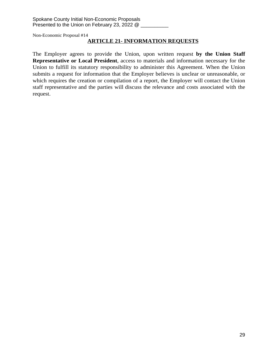## **ARTICLE 21- INFORMATION REQUESTS**

The Employer agrees to provide the Union, upon written request **by the Union Staff Representative or Local President**, access to materials and information necessary for the Union to fulfill its statutory responsibility to administer this Agreement. When the Union submits a request for information that the Employer believes is unclear or unreasonable, or which requires the creation or compilation of a report, the Employer will contact the Union staff representative and the parties will discuss the relevance and costs associated with the request.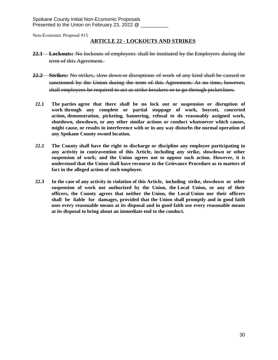#### **ARTICLE 22** - **LOCKOUTS AND STRIKES**

- **22.1 Lockouts:** No lockouts of employees shall be instituted by the Employers during the term of this Agreement.
- **22.2 Strikes:** No strikes, slow down or disruptions of work of any kind shall be caused or sanctioned by the Union during the term of this Agreement. At no time, however, shall employees be required to act as strike breakers or to go through picketlines.
- **22.1 The parties agree that there shall be no lock out or suspension or disruption of work through any complete or partial stoppage of work, boycott, concerted action, demonstration, picketing, bannering, refusal to do reasonably assigned work, shutdown, slowdown, or any other similar actions or conduct whatsoever which causes, might cause, or results in interference with or in any way disturbs the normal operation of any Spokane County owned location.**
- **22.2 The County shall have the right to discharge or discipline any employee participating in any activity in contravention of this Article, including any strike, slowdown or other suspension of work; and the Union agrees not to oppose such action. However, it is understood that the Union shall have recourse to the Grievance Procedure as to matters of fact in the alleged action of such employee.**
- **22.3 In the case of any activity in violation of this Article, including strike, slowdown or other suspension of work not authorized by the Union, the Local Union, or any of their officers, the County agrees that neither the Union, the Local Union nor their officers shall be liable for damages, provided that the Union shall promptly and in good faith uses every reasonable means at its disposal and in good faith use every reasonable means at its disposal to bring about an immediate end to the conduct.**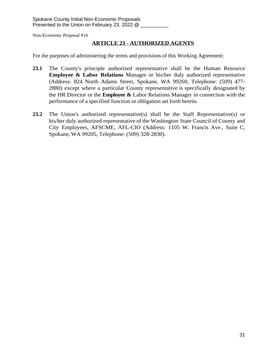## **ARTICLE 23** - **AUTHORIZED AGENTS**

For the purposes of administering the terms and provisions of this Working Agreement:

- **23.1** The County's principle authorized representative shall be the Human Resource **Employee & Labor Relations** Manager or his/her duly authorized representative (Address: 824 North Adams Street, Spokane, WA 99260, Telephone: (509) 477- 2880) except where a particular County representative is specifically designated by the HR Director or the **Employee &** Labor Relations Manager in connection with the performance of a specified function or obligation set forth herein.
- **23.2** The Union's authorized representative(s) shall be the Staff Representative(s) or his/her duly authorized representative of the Washington State Council of County and City Employees, AFSCME, AFL-CIO (Address: 1105 W. Francis Ave., Suite C, Spokane, WA 99205, Telephone: (509) 328-2830).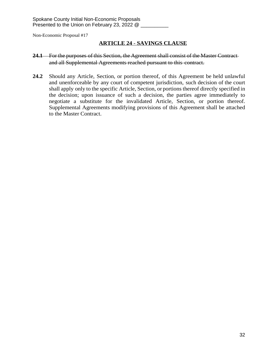## **ARTICLE 24** - **SAVINGS CLAUSE**

#### **24.1** For the purposes of this Section, the Agreement shall consist of the Master Contract and all Supplemental Agreements reached pursuant to this contract.

**24.2** Should any Article, Section, or portion thereof, of this Agreement be held unlawful and unenforceable by any court of competent jurisdiction, such decision of the court shall apply only to the specific Article, Section, or portions thereof directly specified in the decision; upon issuance of such a decision, the parties agree immediately to negotiate a substitute for the invalidated Article, Section, or portion thereof. Supplemental Agreements modifying provisions of this Agreement shall be attached to the Master Contract.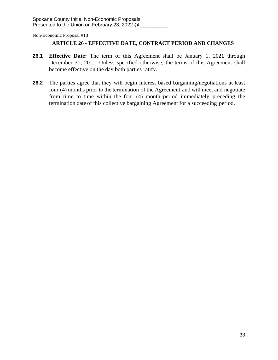## **ARTICLE 26 - EFFECTIVE DATE, CONTRACT PERIOD AND CHANGES**

- **26.1 Effective Date:** The term of this Agreement shall be January 1, 20**21** through December 31, 20 . Unless specified otherwise, the terms of this Agreement shall become effective on the day both parties ratify.
- **26.2** The parties agree that they will begin interest based bargaining/negotiations at least four (4) months prior to the termination of the Agreement and will meet and negotiate from time to time within the four (4) month period immediately preceding the termination date of this collective bargaining Agreement for a succeeding period.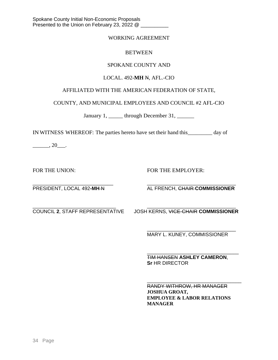#### WORKING AGREEMENT

#### **BETWEEN**

## SPOKANE COUNTY AND

## LOCAL. 492**-MH** N, AFL.-CIO

# AFFILIATED WITH THE AMERICAN FEDERATION OF STATE,

COUNTY, AND MUNICIPAL EMPLOYEES AND COUNCIL #2 AFL-CIO

January 1, \_\_\_\_\_\_ through December 31, \_\_\_\_\_\_

IN WITNESS WHEREOF: The parties hereto have set their hand this\_\_\_\_\_\_\_\_\_ day of

 $\_\_\_\_\$  20 $\_\_\_\$ .

FOR THE UNION: FOR THE EMPLOYER:

\_\_\_\_\_\_\_\_\_\_\_\_\_\_\_\_\_\_\_\_\_\_\_\_\_\_\_\_\_ \_\_\_\_\_\_\_\_\_\_\_\_\_\_\_\_\_\_\_\_\_\_\_\_\_\_\_\_\_\_\_\_ PRESIDENT, LOCAL 492-MH-N AL FRENCH, CHAIR-COMMISSIONER

\_\_\_\_\_\_\_\_\_\_\_\_\_\_\_\_\_\_\_\_\_\_\_\_\_\_\_\_\_\_ \_\_\_\_\_\_\_\_\_\_\_\_\_\_\_\_\_\_\_\_\_\_\_\_\_\_\_\_\_\_\_\_ COUNCIL **2**, STAFF REPRESENTATIVE JOSH KERNS, VICE-CHAIR **COMMISSIONER**

\_\_\_\_\_\_\_\_\_\_\_\_\_\_\_\_\_\_\_\_\_\_\_\_\_\_\_\_\_\_\_\_ MARY L. KUNEY, COMMISSIONER

\_\_\_\_\_\_\_\_\_\_\_\_\_\_\_\_\_\_\_\_\_\_\_\_\_\_\_\_\_\_\_\_\_ TIM HANSEN **ASHLEY CAMERON**, **Sr** HR DIRECTOR

\_\_\_\_\_\_\_\_\_\_\_\_\_\_\_\_\_\_\_\_\_\_\_\_\_\_\_\_\_\_\_\_\_\_ RANDY WITHROW, HR MANAGER **JOSHUA GROAT, EMPLOYEE & LABOR RELATIONS MANAGER**